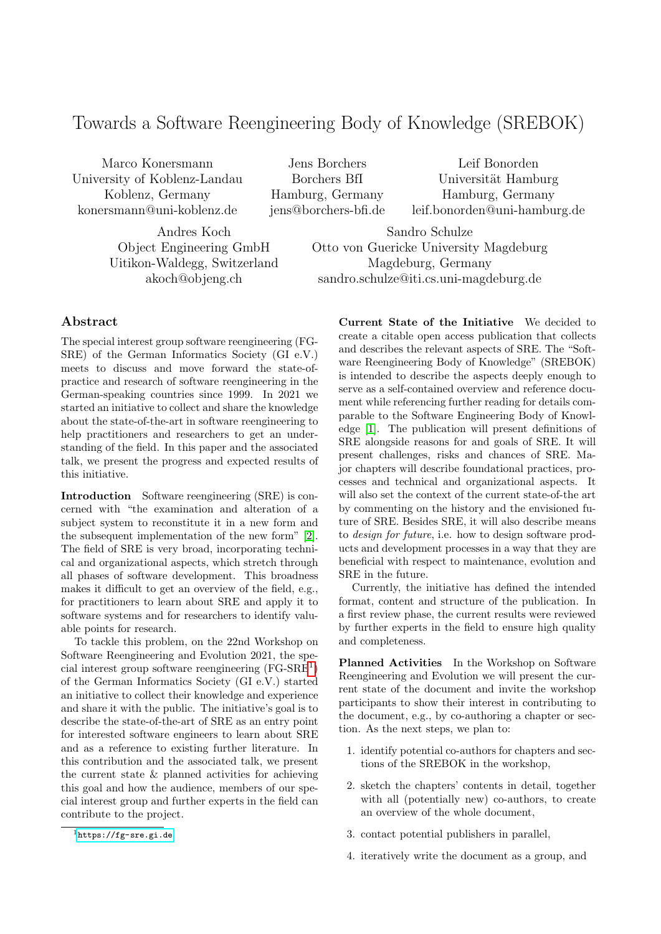## Towards a Software Reengineering Body of Knowledge (SREBOK)

Marco Konersmann University of Koblenz-Landau Koblenz, Germany konersmann@uni-koblenz.de

Jens Borchers Borchers BfI Hamburg, Germany jens@borchers-bfi.de

Leif Bonorden Universität Hamburg Hamburg, Germany leif.bonorden@uni-hamburg.de

Andres Koch Object Engineering GmbH Uitikon-Waldegg, Switzerland akoch@objeng.ch

Sandro Schulze Otto von Guericke University Magdeburg Magdeburg, Germany sandro.schulze@iti.cs.uni-magdeburg.de

## Abstract

The special interest group software reengineering (FG-SRE) of the German Informatics Society (GI e.V.) meets to discuss and move forward the state-ofpractice and research of software reengineering in the German-speaking countries since 1999. In 2021 we started an initiative to collect and share the knowledge about the state-of-the-art in software reengineering to help practitioners and researchers to get an understanding of the field. In this paper and the associated talk, we present the progress and expected results of this initiative.

Introduction Software reengineering (SRE) is concerned with "the examination and alteration of a subject system to reconstitute it in a new form and the subsequent implementation of the new form" [\[2\]](#page-1-0). The field of SRE is very broad, incorporating technical and organizational aspects, which stretch through all phases of software development. This broadness makes it difficult to get an overview of the field, e.g., for practitioners to learn about SRE and apply it to software systems and for researchers to identify valuable points for research.

To tackle this problem, on the 22nd Workshop on Software Reengineering and Evolution 2021, the special interest group software reengineering (FG-SRE[1](#page-0-0) ) of the German Informatics Society (GI e.V.) started an initiative to collect their knowledge and experience and share it with the public. The initiative's goal is to describe the state-of-the-art of SRE as an entry point for interested software engineers to learn about SRE and as a reference to existing further literature. In this contribution and the associated talk, we present the current state & planned activities for achieving this goal and how the audience, members of our special interest group and further experts in the field can contribute to the project.

Current State of the Initiative We decided to create a citable open access publication that collects and describes the relevant aspects of SRE. The "Software Reengineering Body of Knowledge" (SREBOK) is intended to describe the aspects deeply enough to serve as a self-contained overview and reference document while referencing further reading for details comparable to the Software Engineering Body of Knowledge [\[1\]](#page-1-1). The publication will present definitions of SRE alongside reasons for and goals of SRE. It will present challenges, risks and chances of SRE. Major chapters will describe foundational practices, processes and technical and organizational aspects. It will also set the context of the current state-of-the art by commenting on the history and the envisioned future of SRE. Besides SRE, it will also describe means to design for future, i.e. how to design software products and development processes in a way that they are beneficial with respect to maintenance, evolution and SRE in the future.

Currently, the initiative has defined the intended format, content and structure of the publication. In a first review phase, the current results were reviewed by further experts in the field to ensure high quality and completeness.

Planned Activities In the Workshop on Software Reengineering and Evolution we will present the current state of the document and invite the workshop participants to show their interest in contributing to the document, e.g., by co-authoring a chapter or section. As the next steps, we plan to:

- 1. identify potential co-authors for chapters and sections of the SREBOK in the workshop,
- 2. sketch the chapters' contents in detail, together with all (potentially new) co-authors, to create an overview of the whole document,
- 3. contact potential publishers in parallel,
- 4. iteratively write the document as a group, and

<span id="page-0-0"></span><sup>1</sup><https://fg-sre.gi.de>